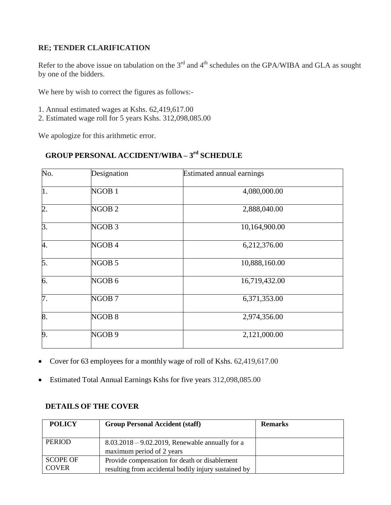## **RE; TENDER CLARIFICATION**

Refer to the above issue on tabulation on the  $3<sup>rd</sup>$  and  $4<sup>th</sup>$  schedules on the GPA/WIBA and GLA as sought by one of the bidders.

We here by wish to correct the figures as follows:-

- 1. Annual estimated wages at Kshs. 62,419,617.00
- 2. Estimated wage roll for 5 years Kshs. 312,098,085.00

We apologize for this arithmetic error.

## **GROUP PERSONAL ACCIDENT/WIBA – 3 rd SCHEDULE**

| No.              | Designation       | Estimated annual earnings |  |
|------------------|-------------------|---------------------------|--|
| $\vert$ 1.       | NGOB <sub>1</sub> | 4,080,000.00              |  |
| $\overline{2}$ . | NGOB <sub>2</sub> | 2,888,040.00              |  |
| 3.               | NGOB <sub>3</sub> | 10,164,900.00             |  |
| 4.               | NGOB <sub>4</sub> | 6,212,376.00              |  |
| 5.               | NGOB <sub>5</sub> | 10,888,160.00             |  |
| 6.               | NGOB <sub>6</sub> | 16,719,432.00             |  |
| 7.               | NGOB <sub>7</sub> | 6,371,353.00              |  |
| 8.               | NGOB <sub>8</sub> | 2,974,356.00              |  |
| 9.               | NGOB <sub>9</sub> | 2,121,000.00              |  |

- Cover for 63 employees for a monthly wage of roll of Kshs. 62,419,617.00
- Estimated Total Annual Earnings Kshs for five years 312,098,085.00

## **DETAILS OF THE COVER**

| <b>POLICY</b>                   | <b>Group Personal Accident (staff)</b>                                                                | <b>Remarks</b> |
|---------------------------------|-------------------------------------------------------------------------------------------------------|----------------|
| <b>PERIOD</b>                   | $8.03.2018 - 9.02.2019$ , Renewable annually for a<br>maximum period of 2 years                       |                |
| <b>SCOPE OF</b><br><b>COVER</b> | Provide compensation for death or disablement<br>resulting from accidental bodily injury sustained by |                |